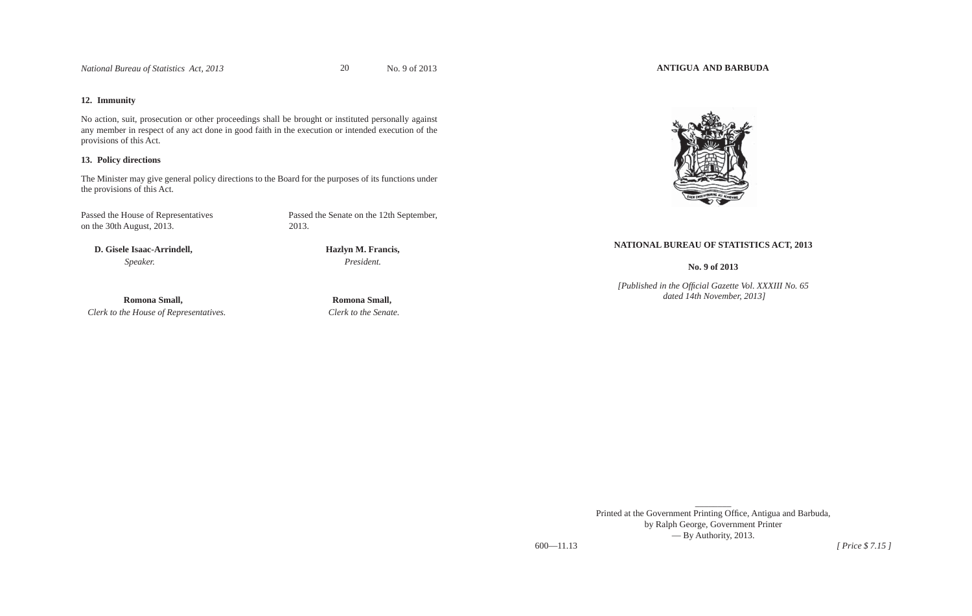*National Bureau of Statistics Act, 2013* 20 No. 9 of 2013

# **12. Immunity**

No action, suit, prosecution or other proceedings shall be brought or instituted personally against any member in respect of any act done in good faith in the execution or intended execution of the provisions of this Act.

# **13. Policy directions**

The Minister may give general policy directions to the Board for the purposes of its functions under the provisions of this Act.

Passed the House of Representatives Passed the Senate on the 12th September, on the 30th August, 2013. 2013.

20

 **D. Gisele Isaac-Arrindell, Hazlyn M. Francis,**  *Speaker. President.*

 **Romona Small, Romona Small,**  *Clerk to the House of Representatives. Clerk to the Senate.*

**ANTIGUA AND BARBUDA**



# **NATIONAL BUREAU OF STATISTICS ACT, 2013**

**No. 9 of 2013** 

*[Published in the Offi cial Gazette Vol. XXXIII No. 65 dated 14th November, 2013]*

Printed at the Government Printing Office, Antigua and Barbuda, by Ralph George, Government Printer — By Authority, 2013. 600—11.13 *[ Price \$ 7.15 ]*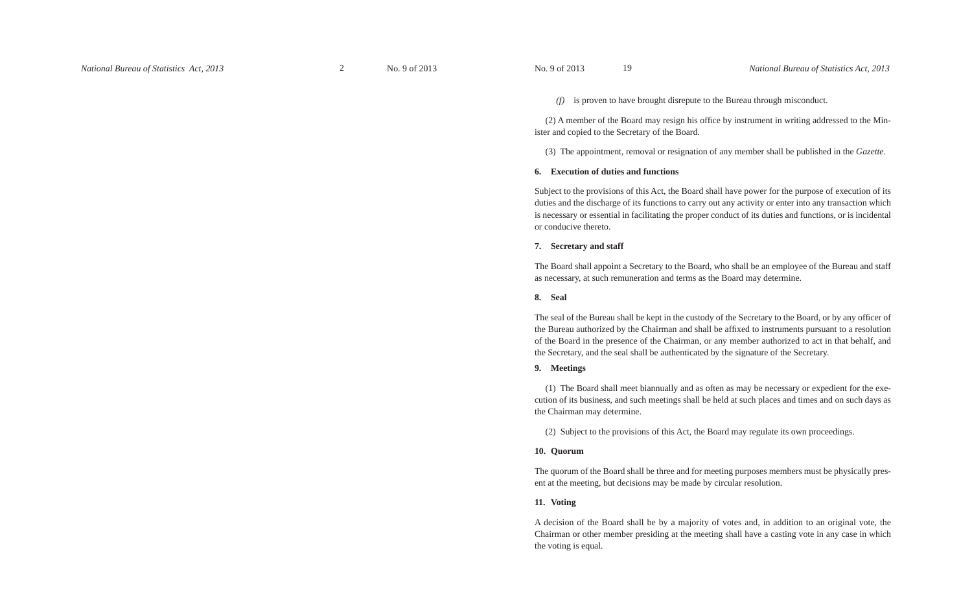*(f)* is proven to have brought disrepute to the Bureau through misconduct.

(2) A member of the Board may resign his office by instrument in writing addressed to the Minister and copied to the Secretary of the Board.

(3) The appointment, removal or resignation of any member shall be published in the *Gazette*.

#### **6. Execution of duties and functions**

Subject to the provisions of this Act, the Board shall have power for the purpose of execution of its duties and the discharge of its functions to carry out any activity or enter into any transaction which is necessary or essential in facilitating the proper conduct of its duties and functions, or is incidental or conducive thereto.

### **7. Secretary and staff**

The Board shall appoint a Secretary to the Board, who shall be an employee of the Bureau and staff as necessary, at such remuneration and terms as the Board may determine.

# **8. Seal**

The seal of the Bureau shall be kept in the custody of the Secretary to the Board, or by any officer of the Bureau authorized by the Chairman and shall be affixed to instruments pursuant to a resolution of the Board in the presence of the Chairman, or any member authorized to act in that behalf, and the Secretary, and the seal shall be authenticated by the signature of the Secretary.

### **9. Meetings**

(1) The Board shall meet biannually and as often as may be necessary or expedient for the execution of its business, and such meetings shall be held at such places and times and on such days as the Chairman may determine.

(2) Subject to the provisions of this Act, the Board may regulate its own proceedings.

### **10. Quorum**

The quorum of the Board shall be three and for meeting purposes members must be physically present at the meeting, but decisions may be made by circular resolution.

# **11. Voting**

A decision of the Board shall be by a majority of votes and, in addition to an original vote, the Chairman or other member presiding at the meeting shall have a casting vote in any case in which the voting is equal.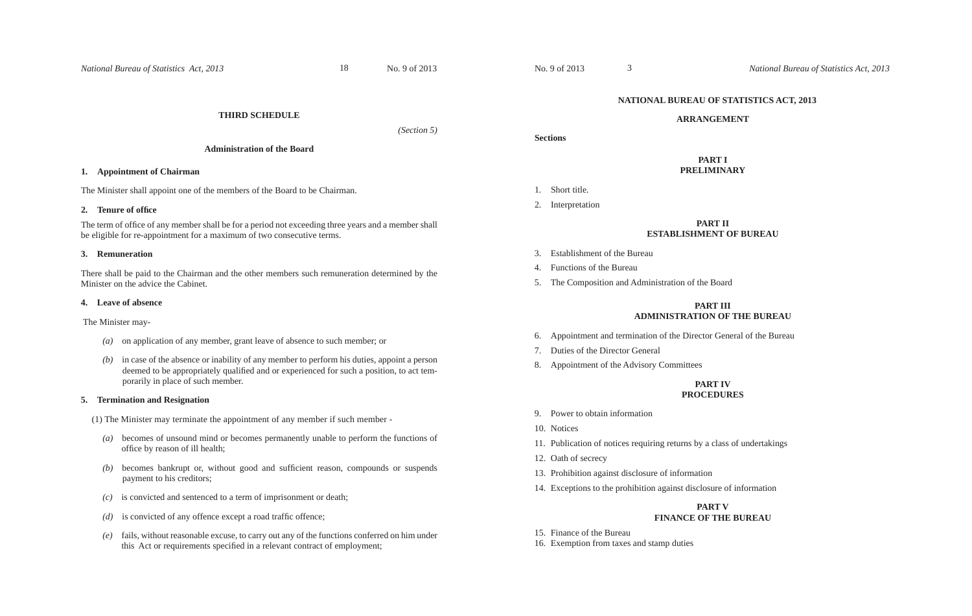# **THIRD SCHEDULE**

*(Section 5)*

# **Administration of the Board**

# **1. Appointment of Chairman**

The Minister shall appoint one of the members of the Board to be Chairman.

### **2. Tenure of offi ce**

The term of office of any member shall be for a period not exceeding three years and a member shall be eligible for re-appointment for a maximum of two consecutive terms.

### **3. Remuneration**

There shall be paid to the Chairman and the other members such remuneration determined by the Minister on the advice the Cabinet.

### **4. Leave of absence**

The Minister may-

- *(a)* on application of any member, grant leave of absence to such member; or
- *(b)* in case of the absence or inability of any member to perform his duties, appoint a person deemed to be appropriately qualified and or experienced for such a position, to act temporarily in place of such member.

# **5. Termination and Resignation**

(1) The Minister may terminate the appointment of any member if such member -

- *(a)* becomes of unsound mind or becomes permanently unable to perform the functions of office by reason of ill health;
- *(b)* becomes bankrupt or, without good and sufficient reason, compounds or suspends payment to his creditors;
- *(c)* is convicted and sentenced to a term of imprisonment or death;
- $(d)$  is convicted of any offence except a road traffic offence;
- *(e)* fails, without reasonable excuse, to carry out any of the functions conferred on him under this Act or requirements specified in a relevant contract of employment;

# **NATIONAL BUREAU OF STATISTICS ACT, 2013**

### **ARRANGEMENT**

**Sections**

# **PART IPRELIMINARY**

- 1. Short title.
- 2. Interpretation

# **PART IIESTABLISHMENT OF BUREAU**

- 3. Establishment of the Bureau
- 4. Functions of the Bureau
- 5. The Composition and Administration of the Board

3

# **PART IIIADMINISTRATION OF THE BUREAU**

- 6. Appointment and termination of the Director General of the Bureau
- 7. Duties of the Director General
- 8. Appointment of the Advisory Committees

# **PART IVPROCEDURES**

- 9. Power to obtain information
- 10. Notices
- 11. Publication of notices requiring returns by a class of undertakings
- 12. Oath of secrecy
- 13. Prohibition against disclosure of information
- 14. Exceptions to the prohibition against disclosure of information

# **PART V**

# **FINANCE OF THE BUREAU**

- 15. Finance of the Bureau
- 16. Exemption from taxes and stamp duties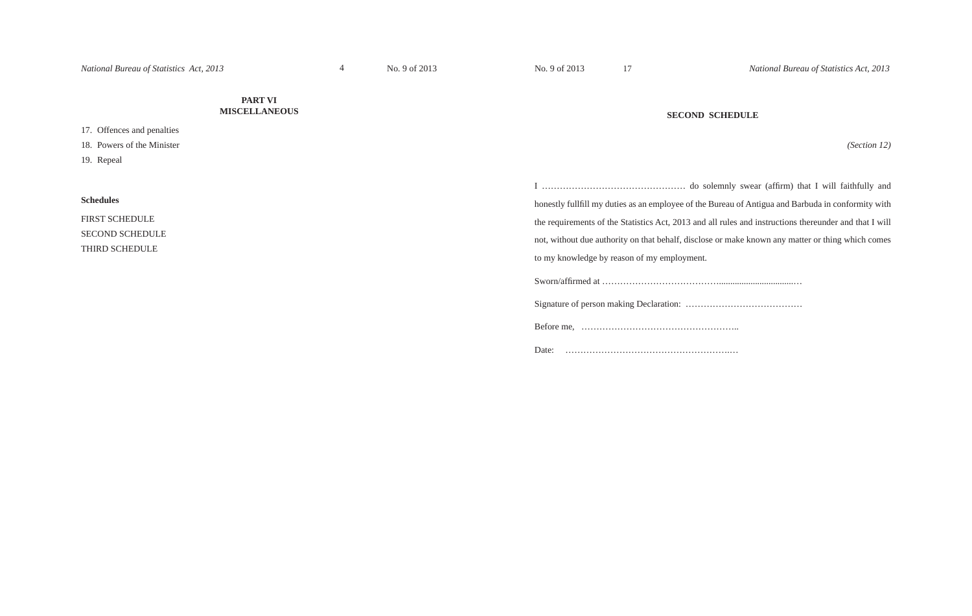17

# **PART VI MISCELLANEOUS**

17. Offences and penalties

18. Powers of the Minister

19. Repeal

### **SECOND SCHEDULE**

*(Section 12)*

| honestly fullfill my duties as an employee of the Bureau of Antigua and Barbuda in conformity with     |
|--------------------------------------------------------------------------------------------------------|
| the requirements of the Statistics Act, 2013 and all rules and instructions thereunder and that I will |
| not, without due authority on that behalf, disclose or make known any matter or thing which comes      |
| to my knowledge by reason of my employment.                                                            |
|                                                                                                        |
|                                                                                                        |

Before me, ……………………………………………..

Date: ……………………………………………….…

# **Schedules**

FIRST SCHEDULE SECOND SCHEDULE THIRD SCHEDULE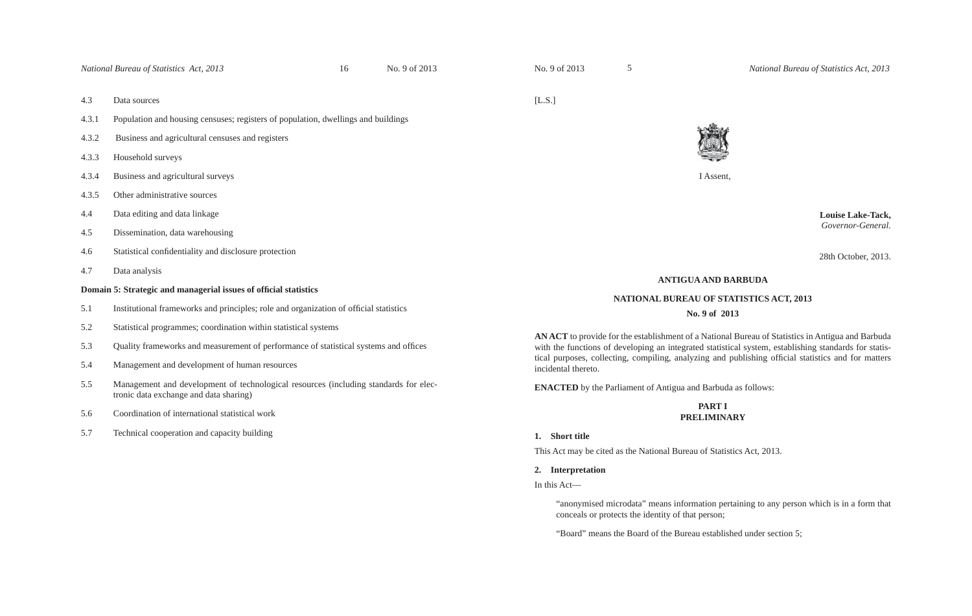*National Bureau of Statistics Act, 2013* 16 No. 9 of 2013

16

5

- 4.3 Data sources
- 4.3.1 Population and housing censuses; registers of population, dwellings and buildings
- 4.3.2 Business and agricultural censuses and registers
- 4.3.3 Household surveys
- 4.3.4 Business and agricultural surveys
- 4.3.5 Other administrative sources
- 4.4 Data editing and data linkage
- 4.5 Dissemination, data warehousing
- 4.6 Statistical confidentiality and disclosure protection
- 4.7 Data analysis

### **Domain 5: Strategic and managerial issues of offi cial statistics**

- 5.1 Institutional frameworks and principles; role and organization of official statistics
- 5.2 Statistical programmes; coordination within statistical systems
- 5.3 Quality frameworks and measurement of performance of statistical systems and offices
- 5.4 Management and development of human resources
- 5.5 Management and development of technological resources (including standards for elec tronic data exchange and data sharing)
- 5.6 Coordination of international statistical work
- 5.7 Technical cooperation and capacity building

[L.S.]



I Assent,

 **Louise Lake-Tack,** *Governor-General.* 

28th October, 2013.

### **ANTIGUA AND BARBUDA**

# **NATIONAL BUREAU OF STATISTICS ACT, 2013**

#### **No. 9 of 2013**

**AN ACT** to provide for the establishment of a National Bureau of Statistics in Antigua and Barbuda with the functions of developing an integrated statistical system, establishing standards for statistical purposes, collecting, compiling, analyzing and publishing official statistics and for matters incidental thereto.

**ENACTED** by the Parliament of Antigua and Barbuda as follows:

### **PART I PRELIMINARY**

#### **1. Short title**

This Act may be cited as the National Bureau of Statistics Act, 2013.

**2. Interpretation**

In this Act—

"anonymised microdata" means information pertaining to any person which is in a form that conceals or protects the identity of that person;

"Board" means the Board of the Bureau established under section 5;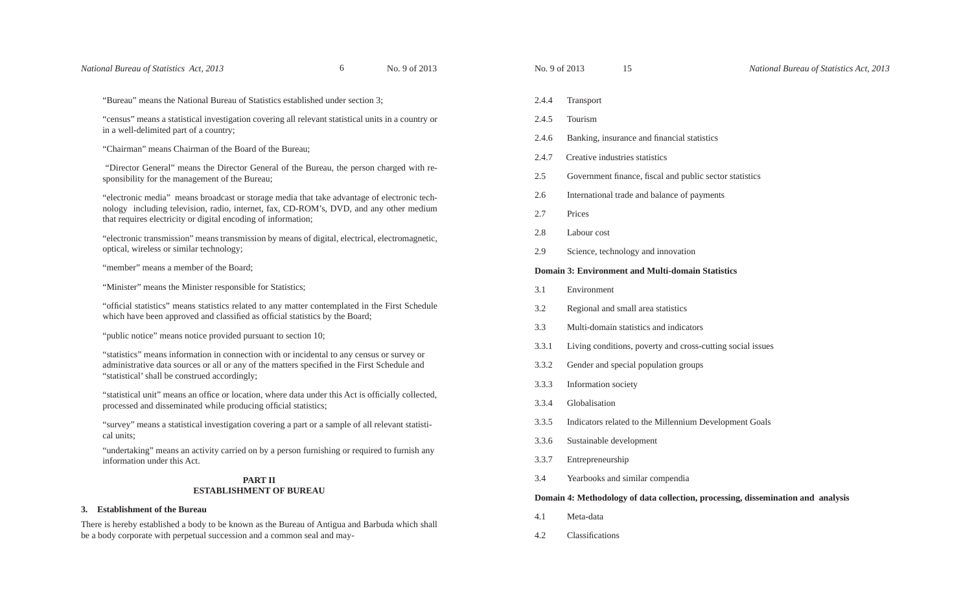"Bureau" means the National Bureau of Statistics established under section 3;

"census" means a statistical investigation covering all relevant statistical units in a country or in a well-delimited part of a country;

"Chairman" means Chairman of the Board of the Bureau;

 "Director General" means the Director General of the Bureau, the person charged with responsibility for the management of the Bureau;

"electronic media" means broadcast or storage media that take advantage of electronic technology including television, radio, internet, fax, CD-ROM's, DVD, and any other medium that requires electricity or digital encoding of information;

"electronic transmission" means transmission by means of digital, electrical, electromagnetic, optical, wireless or similar technology;

"member" means a member of the Board;

"Minister" means the Minister responsible for Statistics;

"official statistics" means statistics related to any matter contemplated in the First Schedule which have been approved and classified as official statistics by the Board;

"public notice" means notice provided pursuant to section 10;

"statistics" means information in connection with or incidental to any census or survey or administrative data sources or all or any of the matters specified in the First Schedule and "statistical' shall be construed accordingly;

"statistical unit" means an office or location, where data under this Act is officially collected, processed and disseminated while producing official statistics;

"survey" means a statistical investigation covering a part or a sample of all relevant statistical units;

"undertaking" means an activity carried on by a person furnishing or required to furnish any information under this Act.

# **PART IIESTABLISHMENT OF BUREAU**

#### **3. Establishment of the Bureau**

There is hereby established a body to be known as the Bureau of Antigua and Barbuda which shall be a body corporate with perpetual succession and a common seal and may-

- 2.4.4 Transport
- 2.4.5 Tourism
- 2.4.6 Banking, insurance and financial statistics
- 
- 2.4.7 Creative industries statistics<br>2.5 Government finance, fiscal and public sector statistics
- 2.6 International trade and balance of payments
- 2.7 Prices
- 2.8 Labour cost
- 2.9 Science, technology and innovation

**Domain 3: Environment and Multi-domain Statistics**

- 3.1 Environment
- 3.2 Regional and small area statistics
- 3.3 Multi-domain statistics and indicators
- 3.3.1 Living conditions, poverty and cross-cutting social issues
- 3.3.2 Gender and special population groups 15<br>tranc strie:<br>sinan<br>trade<br>noloo<br>**ent** :<br>sma<br>exist<br>occie<br>ated<br>evel<br>hip<br>d sir<br>y y exis
- 3.3.3 Information society
- 3.3.4 Globalisation
- 3.3.5 Indicators related to the Millennium Development Goals
- 3.3.6 Sustainable development
- 
- 3.3.7 Entrepreneurship 3.4 Yearbooks and similar compendia

### **Domain 4: Methodology of data collection, processing, dissemination and analysis**

- 4.1 Meta-data
- 4.2 Classifications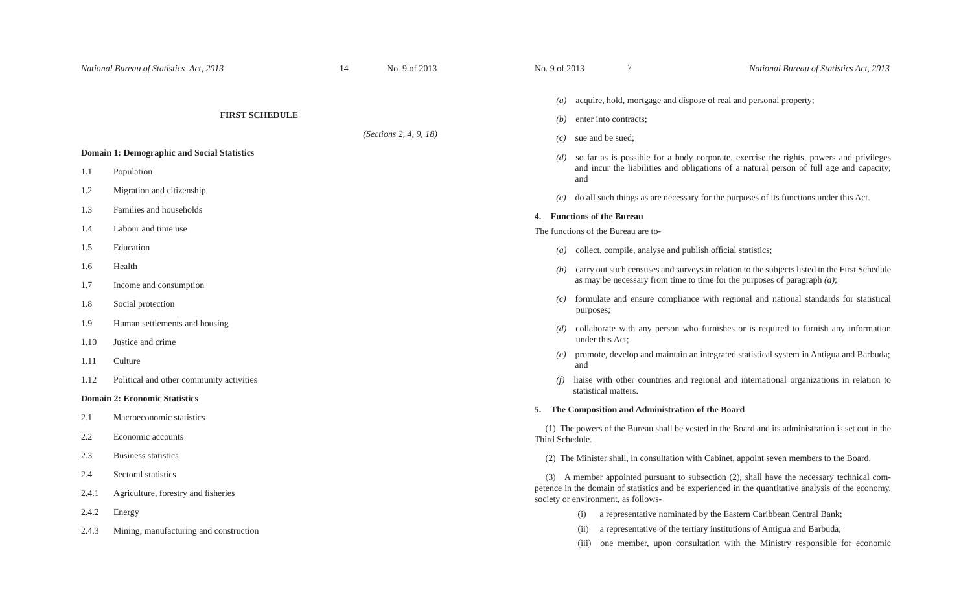## **FIRST SCHEDULE**

*(Sections 2, 4, 9, 18)*

# **Domain 1: Demographic and Social Statistics**

- 1.1 Population
- 1.2 Migration and citizenship
- 1.3 Families and households
- 1.4 Labour and time use
- 1.5 Education
- 1.6 Health
- 1.7 Income and consumption
- 1.8 Social protection
- 1.9 Human settlements and housing
- 1.10 Justice and crime
- 1.11 Culture
- 1.12 Political and other community activities

### **Domain 2: Economic Statistics**

- 2.1 Macroeconomic statistics
- 2.2 Economic accounts
- 2.3 Business statistics
- 2.4 Sectoral statistics
- 2.4.1 Agriculture, forestry and fisheries
- 2.4.2 Energy
- 2.4.3 Mining, manufacturing and construction
- *(a)* acquire, hold, mortgage and dispose of real and personal property;
- *(b)* enter into contracts;

7

- *(c)* sue and be sued;
- *(d)* so far as is possible for a body corporate, exercise the rights, powers and privileges and incur the liabilities and obligations of a natural person of full age and capacity; and
- *(e)* do all such things as are necessary for the purposes of its functions under this Act.

#### **4. Functions of the Bureau**

The functions of the Bureau are to-

- $(a)$  collect, compile, analyse and publish official statistics;
- *(b)* carry out such censuses and surveys in relation to the subjects listed in the First Schedule as may be necessary from time to time for the purposes of paragraph *(a)*;
- *(c)* formulate and ensure compliance with regional and national standards for statistical purposes;
- *(d)* collaborate with any person who furnishes or is required to furnish any information under this Act;
- *(e)* promote, develop and maintain an integrated statistical system in Antigua and Barbuda; and
- *(f)* liaise with other countries and regional and international organizations in relation to statistical matters.

# **5. The Composition and Administration of the Board**

(1) The powers of the Bureau shall be vested in the Board and its administration is set out in the Third Schedule.

(2) The Minister shall, in consultation with Cabinet, appoint seven members to the Board.

(3) A member appointed pursuant to subsection (2), shall have the necessary technical competence in the domain of statistics and be experienced in the quantitative analysis of the economy, society or environment, as follows-

- (i) a representative nominated by the Eastern Caribbean Central Bank;
- (ii) a representative of the tertiary institutions of Antigua and Barbuda;
- (iii) one member, upon consultation with the Ministry responsible for economic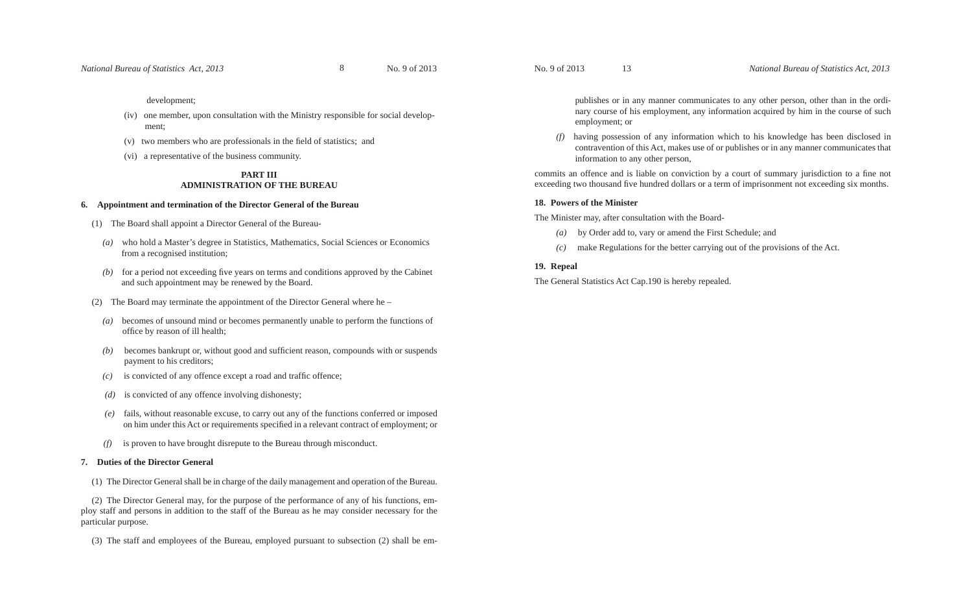### development;

- (iv) one member, upon consultation with the Ministry responsible for social development;
- (v) two members who are professionals in the field of statistics; and
- (vi) a representative of the business community.

# **PART IIIADMINISTRATION OF THE BUREAU**

# **6. Appointment and termination of the Director General of the Bureau**

- (1) The Board shall appoint a Director General of the Bureau-
	- *(a)* who hold a Master's degree in Statistics, Mathematics, Social Sciences or Economics from a recognised institution;
- $(b)$  for a period not exceeding five years on terms and conditions approved by the Cabinet and such appointment may be renewed by the Board.
- (2) The Board may terminate the appointment of the Director General where he
	- *(a)* becomes of unsound mind or becomes permanently unable to perform the functions of office by reason of ill health;
- *(b)* becomes bankrupt or, without good and sufficient reason, compounds with or suspends payment to his creditors;
- $(c)$  is convicted of any offence except a road and traffic offence;
- *(d)* is convicted of any offence involving dishonesty;
- *(e)* fails, without reasonable excuse, to carry out any of the functions conferred or imposed on him under this Act or requirements specified in a relevant contract of employment; or
- *(f)* is proven to have brought disrepute to the Bureau through misconduct.

# **7. Duties of the Director General**

(1) The Director General shall be in charge of the daily management and operation of the Bureau.

(2) The Director General may, for the purpose of the performance of any of his functions, employ staff and persons in addition to the staff of the Bureau as he may consider necessary for the particular purpose.

(3) The staff and employees of the Bureau, employed pursuant to subsection (2) shall be em-

publishes or in any manner communicates to any other person, other than in the ordi nary course of his employment, any information acquired by him in the course of such employment; or

( $f$ ) having possession of any information which to his knowledge has been disclosed in contravention of this Act, makes use of or publishes or in any manner communicates that information to any other person,<br>commits an o No. 9 of 2013 13<br>
publishes or in any manner communicates<br>
nary course of his employment, any inform<br>
employment; or<br>
(*f*) having possession of any information whicron traveration of this Act, makes use of or p<br>
informat

# **18. Powers of the Minister**

The Minister may, after consultation with the Board-

- *(a)* by Order add to, vary or amend the First Schedule; and
- *(c)* make Regulations for the better carrying out of the provisions of the Act.

# **19. Repeal**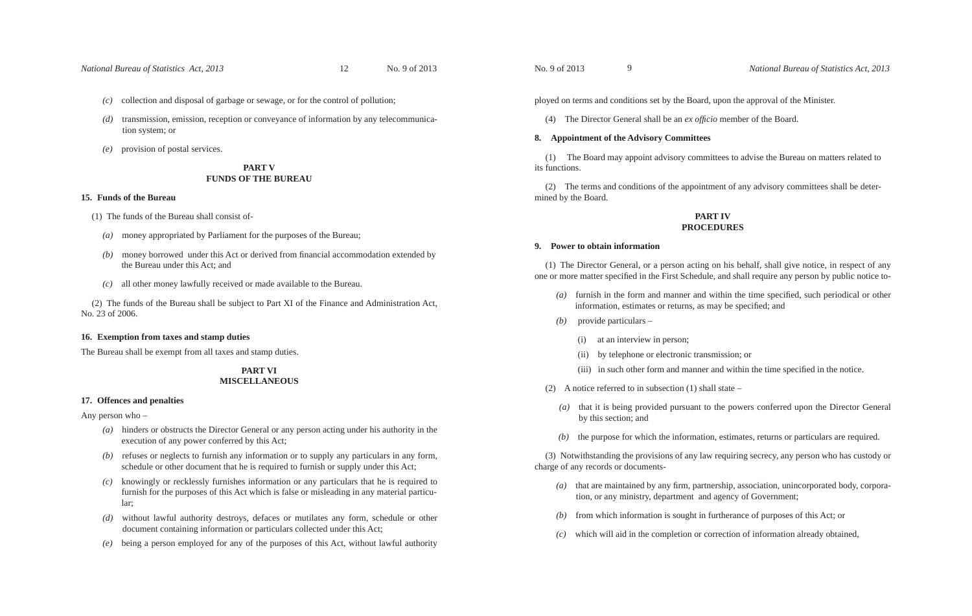*National Bureau of Statistics Act, 2013* 12 No. 9 of 2013

12

*(c)* collection and disposal of garbage or sewage, or for the control of pollution;

- *(d)* transmission, emission, reception or conveyance of information by any telecommunication system; or
- *(e)* provision of postal services.

# **PART VFUNDS OF THE BUREAU**

### **15. Funds of the Bureau**

- (1) The funds of the Bureau shall consist of-
	- *(a)* money appropriated by Parliament for the purposes of the Bureau;
	- *(b)* money borrowed under this Act or derived from financial accommodation extended by the Bureau under this Act; and
- *(c)* all other money lawfully received or made available to the Bureau.

(2) The funds of the Bureau shall be subject to Part XI of the Finance and Administration Act, No. 23 of 2006.

# **16. Exemption from taxes and stamp duties**

The Bureau shall be exempt from all taxes and stamp duties.

# **PART VIMISCELLANEOUS**

### **17. Offences and penalties**

Any person who –

- *(a)* hinders or obstructs the Director General or any person acting under his authority in the execution of any power conferred by this Act;
- *(b)* refuses or neglects to furnish any information or to supply any particulars in any form, schedule or other document that he is required to furnish or supply under this Act;
- *(c)* knowingly or recklessly furnishes information or any particulars that he is required to furnish for the purposes of this Act which is false or misleading in any material particular;
- *(d)* without lawful authority destroys, defaces or mutilates any form, schedule or other document containing information or particulars collected under this Act;
- *(e)* being a person employed for any of the purposes of this Act, without lawful authority

ployed on terms and conditions set by the Board, upon the approval of the Minister.

(4) The Director General shall be an *ex officio* member of the Board.

# **8. Appointment of the Advisory Committees**

9

(1) The Board may appoint advisory committees to advise the Bureau on matters related to its functions.

(2) The terms and conditions of the appointment of any advisory committees shall be determined by the Board.

# **PART IVPROCEDURES**

### **9. Power to obtain information**

(1) The Director General, or a person acting on his behalf, shall give notice, in respect of any one or more matter specified in the First Schedule, and shall require any person by public notice to-

- (a) furnish in the form and manner and within the time specified, such periodical or other information, estimates or returns, as may be specified; and
- *(b)* provide particulars
	- (i) at an interview in person;
	- (ii) by telephone or electronic transmission; or
	- (iii) in such other form and manner and within the time specified in the notice.

(2) A notice referred to in subsection (1) shall state –

- *(a)* that it is being provided pursuant to the powers conferred upon the Director General by this section; and
- *(b)* the purpose for which the information, estimates, returns or particulars are required.

(3) Notwithstanding the provisions of any law requiring secrecy, any person who has custody or charge of any records or documents-

- *(a)* that are maintained by any firm, partnership, association, unincorporated body, corporation, or any ministry, department and agency of Government;
- *(b)* from which information is sought in furtherance of purposes of this Act; or
- *(c)* which will aid in the completion or correction of information already obtained,